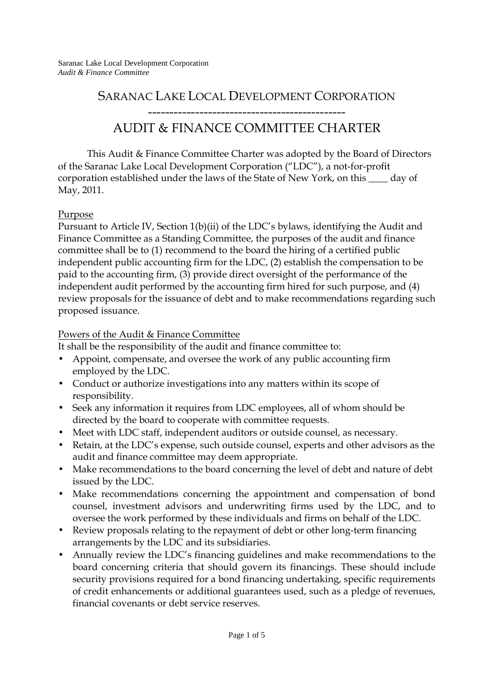# SARANAC LAKE LOCAL DEVELOPMENT CORPORATION

# ----------------------------------------------

# AUDIT & FINANCE COMMITTEE CHARTER

This Audit & Finance Committee Charter was adopted by the Board of Directors of the Saranac Lake Local Development Corporation ("LDC"), a not-for-profit corporation established under the laws of the State of New York, on this \_\_\_\_ day of May, 2011.

### Purpose

Pursuant to Article IV, Section 1(b)(ii) of the LDC's bylaws, identifying the Audit and Finance Committee as a Standing Committee, the purposes of the audit and finance committee shall be to (1) recommend to the board the hiring of a certified public independent public accounting firm for the LDC, (2) establish the compensation to be paid to the accounting firm, (3) provide direct oversight of the performance of the independent audit performed by the accounting firm hired for such purpose, and (4) review proposals for the issuance of debt and to make recommendations regarding such proposed issuance.

## Powers of the Audit & Finance Committee

It shall be the responsibility of the audit and finance committee to:

- Appoint, compensate, and oversee the work of any public accounting firm employed by the LDC.
- Conduct or authorize investigations into any matters within its scope of responsibility.
- Seek any information it requires from LDC employees, all of whom should be directed by the board to cooperate with committee requests.
- Meet with LDC staff, independent auditors or outside counsel, as necessary.
- Retain, at the LDC's expense, such outside counsel, experts and other advisors as the audit and finance committee may deem appropriate.
- Make recommendations to the board concerning the level of debt and nature of debt issued by the LDC.
- Make recommendations concerning the appointment and compensation of bond counsel, investment advisors and underwriting firms used by the LDC, and to oversee the work performed by these individuals and firms on behalf of the LDC.
- Review proposals relating to the repayment of debt or other long-term financing arrangements by the LDC and its subsidiaries.
- Annually review the LDC's financing guidelines and make recommendations to the board concerning criteria that should govern its financings. These should include security provisions required for a bond financing undertaking, specific requirements of credit enhancements or additional guarantees used, such as a pledge of revenues, financial covenants or debt service reserves.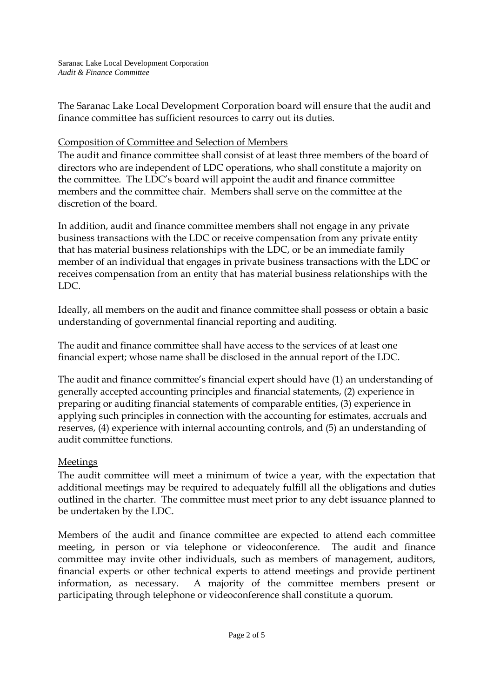Saranac Lake Local Development Corporation *Audit & Finance Committee* 

The Saranac Lake Local Development Corporation board will ensure that the audit and finance committee has sufficient resources to carry out its duties.

#### Composition of Committee and Selection of Members

The audit and finance committee shall consist of at least three members of the board of directors who are independent of LDC operations, who shall constitute a majority on the committee. The LDC's board will appoint the audit and finance committee members and the committee chair. Members shall serve on the committee at the discretion of the board.

In addition, audit and finance committee members shall not engage in any private business transactions with the LDC or receive compensation from any private entity that has material business relationships with the LDC, or be an immediate family member of an individual that engages in private business transactions with the LDC or receives compensation from an entity that has material business relationships with the LDC.

Ideally, all members on the audit and finance committee shall possess or obtain a basic understanding of governmental financial reporting and auditing.

The audit and finance committee shall have access to the services of at least one financial expert; whose name shall be disclosed in the annual report of the LDC.

The audit and finance committee's financial expert should have (1) an understanding of generally accepted accounting principles and financial statements, (2) experience in preparing or auditing financial statements of comparable entities, (3) experience in applying such principles in connection with the accounting for estimates, accruals and reserves, (4) experience with internal accounting controls, and (5) an understanding of audit committee functions.

### Meetings

The audit committee will meet a minimum of twice a year, with the expectation that additional meetings may be required to adequately fulfill all the obligations and duties outlined in the charter. The committee must meet prior to any debt issuance planned to be undertaken by the LDC.

Members of the audit and finance committee are expected to attend each committee meeting, in person or via telephone or videoconference. The audit and finance committee may invite other individuals, such as members of management, auditors, financial experts or other technical experts to attend meetings and provide pertinent information, as necessary. A majority of the committee members present or participating through telephone or videoconference shall constitute a quorum.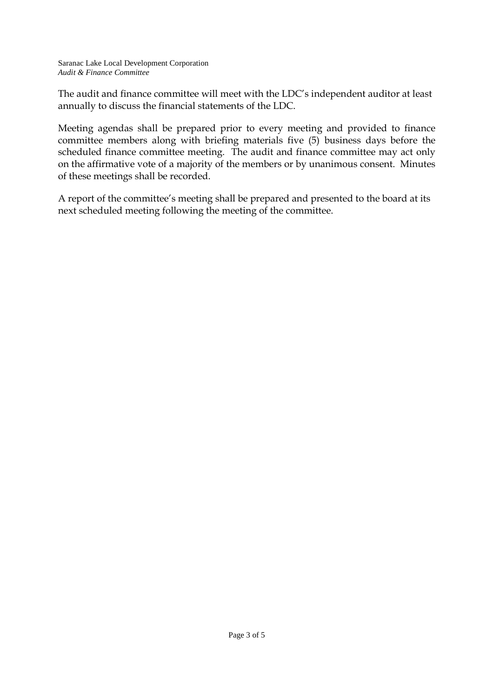The audit and finance committee will meet with the LDC's independent auditor at least annually to discuss the financial statements of the LDC.

Meeting agendas shall be prepared prior to every meeting and provided to finance committee members along with briefing materials five (5) business days before the scheduled finance committee meeting. The audit and finance committee may act only on the affirmative vote of a majority of the members or by unanimous consent. Minutes of these meetings shall be recorded.

A report of the committee's meeting shall be prepared and presented to the board at its next scheduled meeting following the meeting of the committee.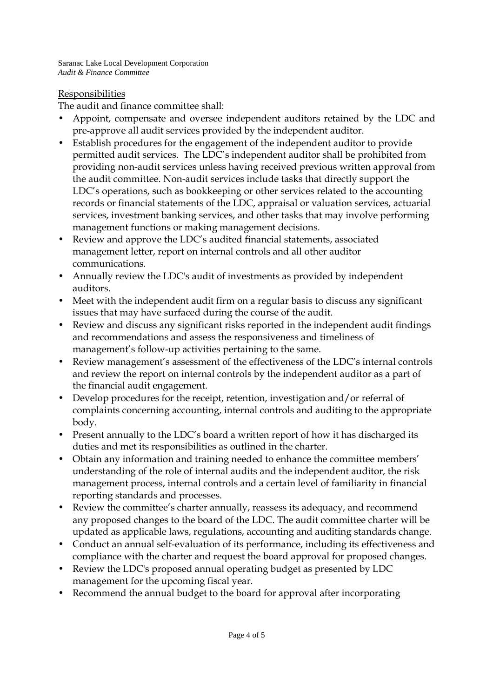Saranac Lake Local Development Corporation *Audit & Finance Committee* 

### Responsibilities

The audit and finance committee shall:

- Appoint, compensate and oversee independent auditors retained by the LDC and pre-approve all audit services provided by the independent auditor.
- Establish procedures for the engagement of the independent auditor to provide permitted audit services. The LDC's independent auditor shall be prohibited from providing non-audit services unless having received previous written approval from the audit committee. Non-audit services include tasks that directly support the LDC's operations, such as bookkeeping or other services related to the accounting records or financial statements of the LDC, appraisal or valuation services, actuarial services, investment banking services, and other tasks that may involve performing management functions or making management decisions.
- Review and approve the LDC's audited financial statements, associated management letter, report on internal controls and all other auditor communications.
- Annually review the LDC's audit of investments as provided by independent auditors.
- Meet with the independent audit firm on a regular basis to discuss any significant issues that may have surfaced during the course of the audit.
- Review and discuss any significant risks reported in the independent audit findings and recommendations and assess the responsiveness and timeliness of management's follow-up activities pertaining to the same.
- Review management's assessment of the effectiveness of the LDC's internal controls and review the report on internal controls by the independent auditor as a part of the financial audit engagement.
- Develop procedures for the receipt, retention, investigation and/or referral of complaints concerning accounting, internal controls and auditing to the appropriate body.
- Present annually to the LDC's board a written report of how it has discharged its duties and met its responsibilities as outlined in the charter.
- Obtain any information and training needed to enhance the committee members' understanding of the role of internal audits and the independent auditor, the risk management process, internal controls and a certain level of familiarity in financial reporting standards and processes.
- Review the committee's charter annually, reassess its adequacy, and recommend any proposed changes to the board of the LDC. The audit committee charter will be updated as applicable laws, regulations, accounting and auditing standards change.
- Conduct an annual self-evaluation of its performance, including its effectiveness and compliance with the charter and request the board approval for proposed changes.
- Review the LDC's proposed annual operating budget as presented by LDC management for the upcoming fiscal year.
- Recommend the annual budget to the board for approval after incorporating